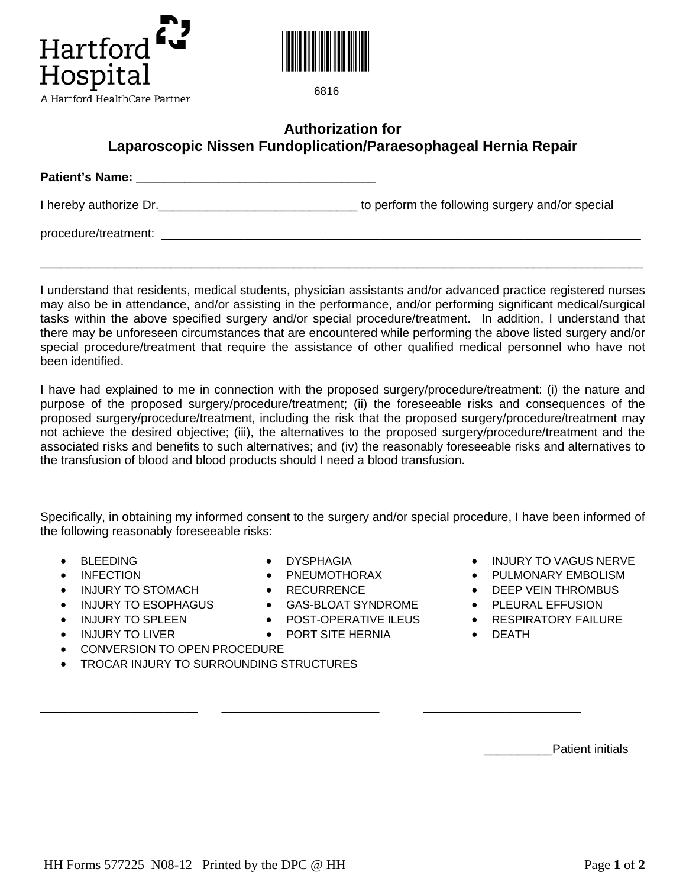



6816

## **Authorization for Laparoscopic Nissen Fundoplication/Paraesophageal Hernia Repair**

| <b>Patient's Name:</b> |                                                 |
|------------------------|-------------------------------------------------|
| I hereby authorize Dr. | to perform the following surgery and/or special |
| procedure/treatment:   |                                                 |

I understand that residents, medical students, physician assistants and/or advanced practice registered nurses may also be in attendance, and/or assisting in the performance, and/or performing significant medical/surgical tasks within the above specified surgery and/or special procedure/treatment. In addition, I understand that there may be unforeseen circumstances that are encountered while performing the above listed surgery and/or special procedure/treatment that require the assistance of other qualified medical personnel who have not been identified.

\_\_\_\_\_\_\_\_\_\_\_\_\_\_\_\_\_\_\_\_\_\_\_\_\_\_\_\_\_\_\_\_\_\_\_\_\_\_\_\_\_\_\_\_\_\_\_\_\_\_\_\_\_\_\_\_\_\_\_\_\_\_\_\_\_\_\_\_\_\_\_\_\_\_\_\_\_\_\_\_\_\_\_\_\_\_\_\_

I have had explained to me in connection with the proposed surgery/procedure/treatment: (i) the nature and purpose of the proposed surgery/procedure/treatment; (ii) the foreseeable risks and consequences of the proposed surgery/procedure/treatment, including the risk that the proposed surgery/procedure/treatment may not achieve the desired objective; (iii), the alternatives to the proposed surgery/procedure/treatment and the associated risks and benefits to such alternatives; and (iv) the reasonably foreseeable risks and alternatives to the transfusion of blood and blood products should I need a blood transfusion.

Specifically, in obtaining my informed consent to the surgery and/or special procedure, I have been informed of the following reasonably foreseeable risks:

- 
- 
- INJURY TO STOMACH RECURRENCE PERSON FIRM BUSING THROMBUS
- 
- 
- - CONVERSION TO OPEN PROCEDURE
- TROCAR INJURY TO SURROUNDING STRUCTURES
- 
- INFECTION PNEUMOTHORAX PULMONARY EMBOLISM
	-

\_\_\_\_\_\_\_\_\_\_\_\_\_\_\_\_\_\_\_\_\_\_\_ \_\_\_\_\_\_\_\_\_\_\_\_\_\_\_\_\_\_\_\_\_\_\_ \_\_\_\_\_\_\_\_\_\_\_\_\_\_\_\_\_\_\_\_\_\_\_

- INJURY TO ESOPHAGUS GAS-BLOAT SYNDROME PLEURAL EFFUSION
	-
- INJURY TO LIVER PORT SITE HERNIA DEATH
- BLEEDING DYSPHAGIA INJURY TO VAGUS NERVE
	-
	-
	-
- INJURY TO SPLEEN POST-OPERATIVE ILEUS RESPIRATORY FAILURE
	-

Patient initials